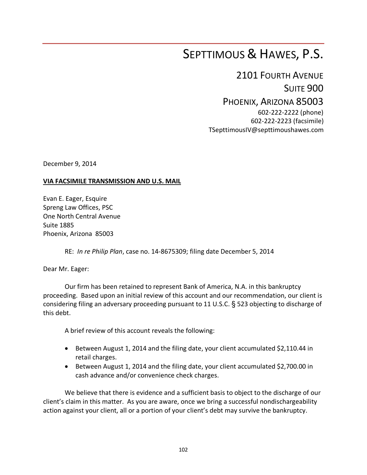## SEPTTIMOUS & HAWES, P.S.

2101 FOURTH AVENUE SUITE 900 PHOENIX, ARIZONA 85003 602-222-2222 (phone)

602-222-2223 (facsimile) TSepttimousIV@septtimoushawes.com

December 9, 2014

#### **VIA FACSIMILE TRANSMISSION AND U.S. MAIL**

Evan E. Eager, Esquire Spreng Law Offices, PSC One North Central Avenue Suite 1885 Phoenix, Arizona 85003

RE: *In re Philip Plan*, case no. 14-8675309; filing date December 5, 2014

Dear Mr. Eager:

Our firm has been retained to represent Bank of America, N.A. in this bankruptcy proceeding. Based upon an initial review of this account and our recommendation, our client is considering filing an adversary proceeding pursuant to 11 U.S.C. § 523 objecting to discharge of this debt.

A brief review of this account reveals the following:

- Between August 1, 2014 and the filing date, your client accumulated \$2,110.44 in retail charges.
- Between August 1, 2014 and the filing date, your client accumulated \$2,700.00 in cash advance and/or convenience check charges.

We believe that there is evidence and a sufficient basis to object to the discharge of our client's claim in this matter. As you are aware, once we bring a successful nondischargeability action against your client, all or a portion of your client's debt may survive the bankruptcy.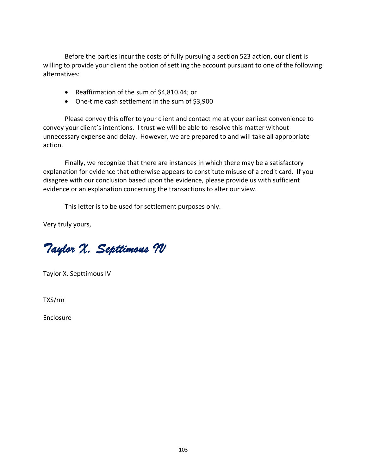Before the parties incur the costs of fully pursuing a section 523 action, our client is willing to provide your client the option of settling the account pursuant to one of the following alternatives:

- Reaffirmation of the sum of \$4,810.44; or
- One-time cash settlement in the sum of \$3,900

Please convey this offer to your client and contact me at your earliest convenience to convey your client's intentions. I trust we will be able to resolve this matter without unnecessary expense and delay. However, we are prepared to and will take all appropriate action.

Finally, we recognize that there are instances in which there may be a satisfactory explanation for evidence that otherwise appears to constitute misuse of a credit card. If you disagree with our conclusion based upon the evidence, please provide us with sufficient evidence or an explanation concerning the transactions to alter our view.

This letter is to be used for settlement purposes only.

Very truly yours,

*Taylor X. Septtimous IV* 

Taylor X. Septtimous IV

TXS/rm

Enclosure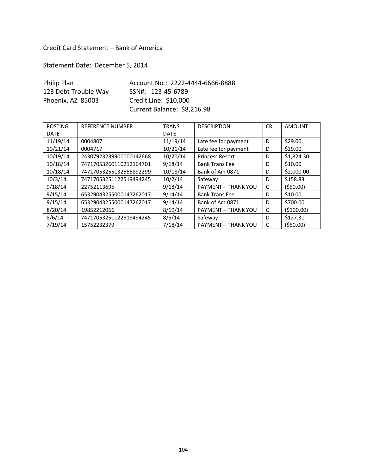#### Credit Card Statement – Bank of America

Statement Date: December 5, 2014

| Philip Plan          | Account No.: 2222-4444-6666-8888 |
|----------------------|----------------------------------|
| 123 Debt Trouble Way | SSN#: 123-45-6789                |
| Phoenix, AZ 85003    | Credit Line: \$10,000            |
|                      | Current Balance: \$8,216.98      |

| <b>POSTING</b> | <b>REFERENCE NUMBER</b> | <b>TRANS</b> | <b>DESCRIPTION</b>         | <b>CR</b> | <b>AMOUNT</b> |
|----------------|-------------------------|--------------|----------------------------|-----------|---------------|
| <b>DATE</b>    |                         | <b>DATE</b>  |                            |           |               |
| 11/19/14       | 0004807                 | 11/19/14     | Late fee for payment       | D         | \$29.00       |
| 10/21/14       | 0004717                 | 10/21/14     | Late fee for payment       | D         | \$29.00       |
| 10/19/14       | 24307923239900000142668 | 10/20/14     | <b>Princess Resort</b>     | D         | \$1,824.30    |
| 10/18/14       | 74717053260110212164701 | 9/18/14      | <b>Bank Trans Fee</b>      | D         | \$10.00       |
| 10/18/14       | 74717053255132555892299 | 10/18/14     | Bank of Am 0871            | D         | \$2,000.00    |
| 10/3/14        | 74717053251122519494245 | 10/2/14      | Safeway                    | D         | \$158.83      |
| 9/18/14        | 22752113695             | 9/18/14      | PAYMENT - THANK YOU        | C         | ( \$50.00)    |
| 9/15/14        | 65329043255000147262017 | 9/14/14      | <b>Bank Trans Fee</b>      | D         | \$10.00       |
| 9/15/14        | 65329043255000147262017 | 9/14/14      | Bank of Am 0871            | D         | \$700.00      |
| 8/20/14        | 19852212066             | 8/19/14      | <b>PAYMENT - THANK YOU</b> | C         | ( \$100.00)   |
| 8/6/14         | 74717053251122519494245 | 8/5/14       | Safeway                    | D         | \$127.31      |
| 7/19/14        | 15752232379             | 7/18/14      | <b>PAYMENT - THANK YOU</b> | C         | ( \$50.00)    |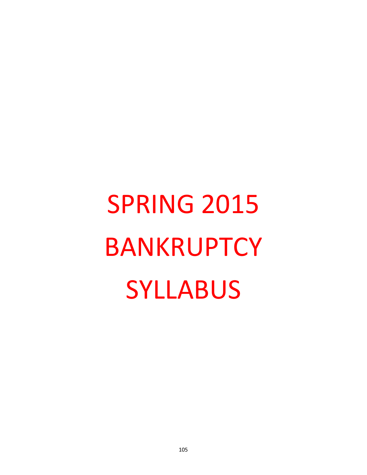**SPRING 2015** BANKRUPTCY SYLLABUS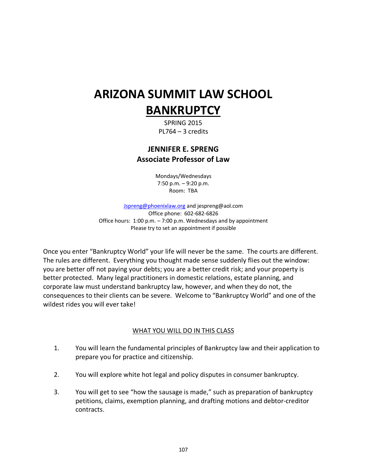## **ARIZONA SUMMIT LAW SCHOOL BANKRUPTCY**

SPRING 2015 PL764 – 3 credits

#### **JENNIFER E. SPRENG Associate Professor of Law**

Mondays/Wednesdays 7:50 p.m. – 9:20 p.m. Room: TBA

Jspreng@phoenixlaw.org and jespreng@aol.com Office phone: 602-682-6826 Office hours: 1:00 p.m. – 7:00 p.m. Wednesdays and by appointment Please try to set an appointment if possible

Once you enter "Bankruptcy World" your life will never be the same. The courts are different. The rules are different. Everything you thought made sense suddenly flies out the window: you are better off not paying your debts; you are a better credit risk; and your property is better protected. Many legal practitioners in domestic relations, estate planning, and corporate law must understand bankruptcy law, however, and when they do not, the consequences to their clients can be severe. Welcome to "Bankruptcy World" and one of the wildest rides you will ever take!

#### WHAT YOU WILL DO IN THIS CLASS

- 1. You will learn the fundamental principles of Bankruptcy law and their application to prepare you for practice and citizenship.
- 2. You will explore white hot legal and policy disputes in consumer bankruptcy.
- 3. You will get to see "how the sausage is made," such as preparation of bankruptcy petitions, claims, exemption planning, and drafting motions and debtor-creditor contracts.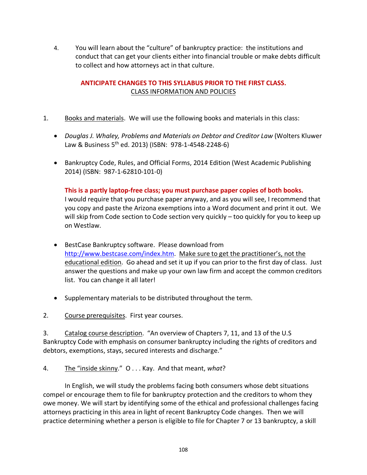4. You will learn about the "culture" of bankruptcy practice: the institutions and conduct that can get your clients either into financial trouble or make debts difficult to collect and how attorneys act in that culture.

#### **ANTICIPATE CHANGES TO THIS SYLLABUS PRIOR TO THE FIRST CLASS.** CLASS INFORMATION AND POLICIES

- 1. Books and materials. We will use the following books and materials in this class:
	- *Douglas J. Whaley, Problems and Materials on Debtor and Creditor Law* (Wolters Kluwer Law & Business 5th ed. 2013) (ISBN: 978-1-4548-2248-6)
	- Bankruptcy Code, Rules, and Official Forms, 2014 Edition (West Academic Publishing 2014) (ISBN: 987-1-62810-101-0)

#### **This is a partly laptop-free class; you must purchase paper copies of both books.**

I would require that you purchase paper anyway, and as you will see, I recommend that you copy and paste the Arizona exemptions into a Word document and print it out. We will skip from Code section to Code section very quickly – too quickly for you to keep up on Westlaw.

- BestCase Bankruptcy software. Please download from http://www.bestcase.com/index.htm. Make sure to get the practitioner's, not the educational edition. Go ahead and set it up if you can prior to the first day of class. Just answer the questions and make up your own law firm and accept the common creditors list. You can change it all later!
- Supplementary materials to be distributed throughout the term.
- 2. Course prerequisites. First year courses.

3. Catalog course description. "An overview of Chapters 7, 11, and 13 of the U.S Bankruptcy Code with emphasis on consumer bankruptcy including the rights of creditors and debtors, exemptions, stays, secured interests and discharge."

4. The "inside skinny." O . . . Kay. And that meant, *what*?

In English, we will study the problems facing both consumers whose debt situations compel or encourage them to file for bankruptcy protection and the creditors to whom they owe money. We will start by identifying some of the ethical and professional challenges facing attorneys practicing in this area in light of recent Bankruptcy Code changes. Then we will practice determining whether a person is eligible to file for Chapter 7 or 13 bankruptcy, a skill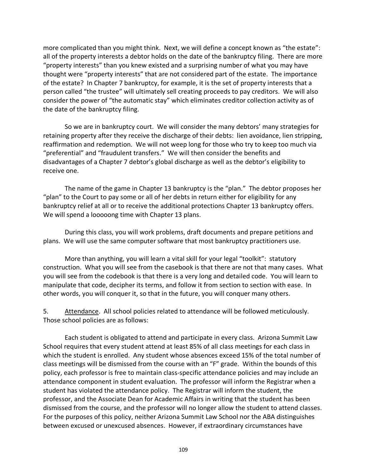more complicated than you might think. Next, we will define a concept known as "the estate": all of the property interests a debtor holds on the date of the bankruptcy filing. There are more "property interests" than you knew existed and a surprising number of what you may have thought were "property interests" that are not considered part of the estate. The importance of the estate? In Chapter 7 bankruptcy, for example, it is the set of property interests that a person called "the trustee" will ultimately sell creating proceeds to pay creditors. We will also consider the power of "the automatic stay" which eliminates creditor collection activity as of the date of the bankruptcy filing.

So we are in bankruptcy court. We will consider the many debtors' many strategies for retaining property after they receive the discharge of their debts: lien avoidance, lien stripping, reaffirmation and redemption. We will not weep long for those who try to keep too much via "preferential" and "fraudulent transfers." We will then consider the benefits and disadvantages of a Chapter 7 debtor's global discharge as well as the debtor's eligibility to receive one.

The name of the game in Chapter 13 bankruptcy is the "plan." The debtor proposes her "plan" to the Court to pay some or all of her debts in return either for eligibility for any bankruptcy relief at all or to receive the additional protections Chapter 13 bankruptcy offers. We will spend a looooong time with Chapter 13 plans.

During this class, you will work problems, draft documents and prepare petitions and plans. We will use the same computer software that most bankruptcy practitioners use.

More than anything, you will learn a vital skill for your legal "toolkit": statutory construction. What you will see from the casebook is that there are not that many cases. What you will see from the codebook is that there is a very long and detailed code. You will learn to manipulate that code, decipher its terms, and follow it from section to section with ease. In other words, you will conquer it, so that in the future, you will conquer many others.

5. Attendance. All school policies related to attendance will be followed meticulously. Those school policies are as follows:

Each student is obligated to attend and participate in every class. Arizona Summit Law School requires that every student attend at least 85% of all class meetings for each class in which the student is enrolled. Any student whose absences exceed 15% of the total number of class meetings will be dismissed from the course with an "F" grade. Within the bounds of this policy, each professor is free to maintain class-specific attendance policies and may include an attendance component in student evaluation. The professor will inform the Registrar when a student has violated the attendance policy. The Registrar will inform the student, the professor, and the Associate Dean for Academic Affairs in writing that the student has been dismissed from the course, and the professor will no longer allow the student to attend classes. For the purposes of this policy, neither Arizona Summit Law School nor the ABA distinguishes between excused or unexcused absences. However, if extraordinary circumstances have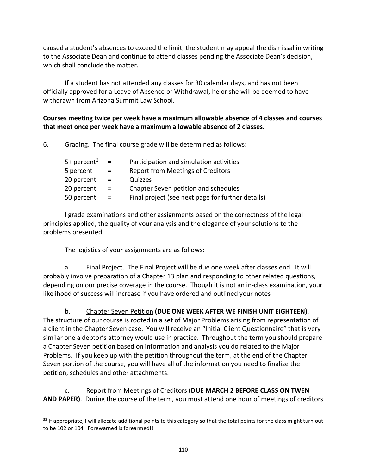caused a student's absences to exceed the limit, the student may appeal the dismissal in writing to the Associate Dean and continue to attend classes pending the Associate Dean's decision, which shall conclude the matter.

If a student has not attended any classes for 30 calendar days, and has not been officially approved for a Leave of Absence or Withdrawal, he or she will be deemed to have withdrawn from Arizona Summit Law School.

#### **Courses meeting twice per week have a maximum allowable absence of 4 classes and courses that meet once per week have a maximum allowable absence of 2 classes.**

6. Grading. The final course grade will be determined as follows:

| 5+ percent <sup>3</sup> | $=$      | Participation and simulation activities           |
|-------------------------|----------|---------------------------------------------------|
| 5 percent               | $\equiv$ | Report from Meetings of Creditors                 |
| 20 percent              | $\equiv$ | Quizzes                                           |
| 20 percent              | $=$      | Chapter Seven petition and schedules              |
| 50 percent              | $\equiv$ | Final project (see next page for further details) |

I grade examinations and other assignments based on the correctness of the legal principles applied, the quality of your analysis and the elegance of your solutions to the problems presented.

The logistics of your assignments are as follows:

 $\overline{\phantom{a}}$ 

a. Final Project. The Final Project will be due one week after classes end. It will probably involve preparation of a Chapter 13 plan and responding to other related questions, depending on our precise coverage in the course. Though it is not an in-class examination, your likelihood of success will increase if you have ordered and outlined your notes

 b. Chapter Seven Petition **(DUE ONE WEEK AFTER WE FINISH UNIT EIGHTEEN)**. The structure of our course is rooted in a set of Major Problems arising from representation of a client in the Chapter Seven case. You will receive an "Initial Client Questionnaire" that is very similar one a debtor's attorney would use in practice. Throughout the term you should prepare a Chapter Seven petition based on information and analysis you do related to the Major Problems. If you keep up with the petition throughout the term, at the end of the Chapter Seven portion of the course, you will have all of the information you need to finalize the petition, schedules and other attachments.

 c. Report from Meetings of Creditors **(DUE MARCH 2 BEFORE CLASS ON TWEN AND PAPER)**. During the course of the term, you must attend one hour of meetings of creditors

<sup>&</sup>lt;sup>33</sup> If appropriate, I will allocate additional points to this category so that the total points for the class might turn out to be 102 or 104. Forewarned is forearmed!!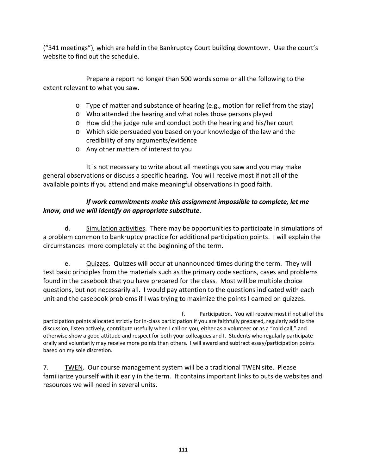("341 meetings"), which are held in the Bankruptcy Court building downtown. Use the court's website to find out the schedule.

 Prepare a report no longer than 500 words some or all the following to the extent relevant to what you saw.

- o Type of matter and substance of hearing (e.g., motion for relief from the stay)
- o Who attended the hearing and what roles those persons played
- o How did the judge rule and conduct both the hearing and his/her court
- o Which side persuaded you based on your knowledge of the law and the credibility of any arguments/evidence
- o Any other matters of interest to you

 It is not necessary to write about all meetings you saw and you may make general observations or discuss a specific hearing. You will receive most if not all of the available points if you attend and make meaningful observations in good faith.

#### *If work commitments make this assignment impossible to complete, let me know, and we will identify an appropriate substitute*.

d. Simulation activities. There may be opportunities to participate in simulations of a problem common to bankruptcy practice for additional participation points. I will explain the circumstances more completely at the beginning of the term.

e. **Quizzes.** Quizzes will occur at unannounced times during the term. They will test basic principles from the materials such as the primary code sections, cases and problems found in the casebook that you have prepared for the class. Most will be multiple choice questions, but not necessarily all. I would pay attention to the questions indicated with each unit and the casebook problems if I was trying to maximize the points I earned on quizzes.

f. Participation. You will receive most if not all of the participation points allocated strictly for in-class participation if you are faithfully prepared, regularly add to the discussion, listen actively, contribute usefully when I call on you, either as a volunteer or as a "cold call," and otherwise show a good attitude and respect for both your colleagues and I. Students who regularly participate orally and voluntarily may receive more points than others. I will award and subtract essay/participation points based on my sole discretion.

7. TWEN. Our course management system will be a traditional TWEN site. Please familiarize yourself with it early in the term. It contains important links to outside websites and resources we will need in several units.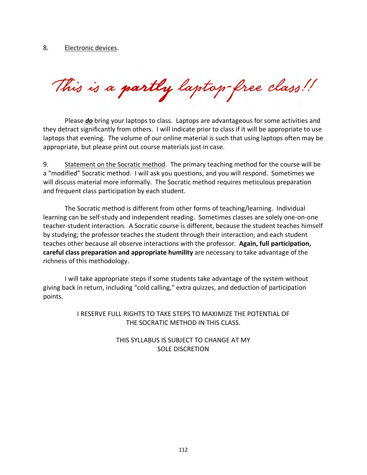#### 8. Electronic devices.

This is a partly laptop-free class!!

Please *do* bring your laptops to class. Laptops are advantageous for some activities and they detract significantly from others. I will indicate prior to class if it will be appropriate to use laptops that evening. The volume of our online material is such that using laptops often may be appropriate, but please print out course materials just in case.

9. Statement on the Socratic method. The primary teaching method for the course will be a "modified" Socratic method. I will ask you questions, and you will respond. Sometimes we will discuss material more informally. The Socratic method requires meticulous preparation and frequent class participation by each student.

The Socratic method is different from other forms of teaching/learning. Individual learning can be self-study and independent reading. Sometimes classes are solely one-on-one teacher-student interaction. A Socratic course is different, because the student teaches himself by studying; the professor teaches the student through their interaction; and each student teaches other because all observe interactions with the professor. **Again, full participation, careful class preparation and appropriate humility** are necessary to take advantage of the richness of this methodology.

I will take appropriate steps if some students take advantage of the system without giving back in return, including "cold calling," extra quizzes, and deduction of participation points.

> I RESERVE FULL RIGHTS TO TAKE STEPS TO MAXIMIZE THE POTENTIAL OF THE SOCRATIC METHOD IN THIS CLASS.

> > THIS SYLLABUS IS SUBJECT TO CHANGE AT MY SOLE DISCRETION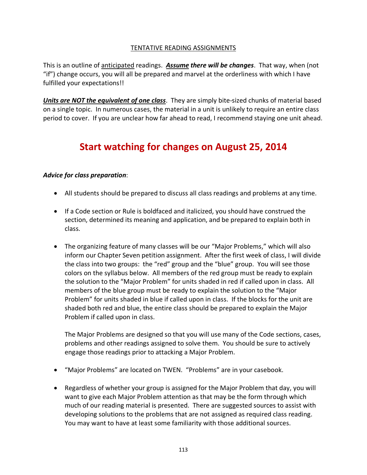#### TENTATIVE READING ASSIGNMENTS

This is an outline of anticipated readings. *Assume there will be changes*. That way, when (not "if") change occurs, you will all be prepared and marvel at the orderliness with which I have fulfilled your expectations!!

*Units are NOT the equivalent of one class*. They are simply bite-sized chunks of material based on a single topic. In numerous cases, the material in a unit is unlikely to require an entire class period to cover. If you are unclear how far ahead to read, I recommend staying one unit ahead.

### **Start watching for changes on August 25, 2014**

#### *Advice for class preparation*:

- All students should be prepared to discuss all class readings and problems at any time.
- If a Code section or Rule is boldfaced and italicized, you should have construed the section, determined its meaning and application, and be prepared to explain both in class.
- The organizing feature of many classes will be our "Major Problems," which will also inform our Chapter Seven petition assignment. After the first week of class, I will divide the class into two groups: the "red" group and the "blue" group. You will see those colors on the syllabus below. All members of the red group must be ready to explain the solution to the "Major Problem" for units shaded in red if called upon in class. All members of the blue group must be ready to explain the solution to the "Major Problem" for units shaded in blue if called upon in class. If the blocks for the unit are shaded both red and blue, the entire class should be prepared to explain the Major Problem if called upon in class.

The Major Problems are designed so that you will use many of the Code sections, cases, problems and other readings assigned to solve them. You should be sure to actively engage those readings prior to attacking a Major Problem.

- "Major Problems" are located on TWEN. "Problems" are in your casebook.
- Regardless of whether your group is assigned for the Major Problem that day, you will want to give each Major Problem attention as that may be the form through which much of our reading material is presented. There are suggested sources to assist with developing solutions to the problems that are not assigned as required class reading. You may want to have at least some familiarity with those additional sources.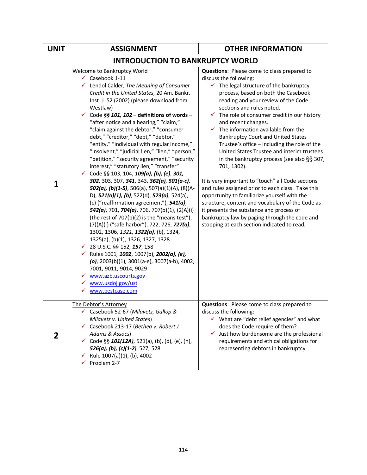| <b>UNIT</b> | <b>ASSIGNMENT</b>                                                                                                                                                                                                                                                                                                                                                                                                                                                                                                                                                                                                                                                                                                                                                                                                                                                                                                                                                                                                                                                                                                                                                                                                                                                                                             | <b>OTHER INFORMATION</b>                                                                                                                                                                                                                                                                                                                                                                                                                                                                                                                                                                                                                                                                                                                                                                                                                                                                                                       |
|-------------|---------------------------------------------------------------------------------------------------------------------------------------------------------------------------------------------------------------------------------------------------------------------------------------------------------------------------------------------------------------------------------------------------------------------------------------------------------------------------------------------------------------------------------------------------------------------------------------------------------------------------------------------------------------------------------------------------------------------------------------------------------------------------------------------------------------------------------------------------------------------------------------------------------------------------------------------------------------------------------------------------------------------------------------------------------------------------------------------------------------------------------------------------------------------------------------------------------------------------------------------------------------------------------------------------------------|--------------------------------------------------------------------------------------------------------------------------------------------------------------------------------------------------------------------------------------------------------------------------------------------------------------------------------------------------------------------------------------------------------------------------------------------------------------------------------------------------------------------------------------------------------------------------------------------------------------------------------------------------------------------------------------------------------------------------------------------------------------------------------------------------------------------------------------------------------------------------------------------------------------------------------|
|             | <b>INTRODUCTION TO BANKRUPTCY WORLD</b>                                                                                                                                                                                                                                                                                                                                                                                                                                                                                                                                                                                                                                                                                                                                                                                                                                                                                                                                                                                                                                                                                                                                                                                                                                                                       |                                                                                                                                                                                                                                                                                                                                                                                                                                                                                                                                                                                                                                                                                                                                                                                                                                                                                                                                |
| 1           | Welcome to Bankruptcy World<br>$\checkmark$ Casebook 1-11<br>└ Lendol Calder, The Meaning of Consumer<br>Credit in the United States, 20 Am. Bankr.<br>Inst. J. 52 (2002) (please download from<br>Westlaw)<br>Code §§ 101, 102 - definitions of words -<br>✓<br>"after notice and a hearing," "claim,"<br>"claim against the debtor," "consumer<br>debt," "creditor," "debt," "debtor,"<br>"entity," "individual with regular income,"<br>"insolvent," "judicial lien," "lien," "person,"<br>"petition," "security agreement," "security<br>interest," "statutory lien," "transfer"<br>✓ Code §§ 103, 104, 109(a), (b), (e), 301,<br>302, 303, 307, 341, 343, 362(a), 501(a-c),<br>$502(a)$ , (b)(1-5), 506(a), 507(a)(1)(A), (8)(A-<br>D), 521(a)(1), (b), 522(d), 523(a), 524(a),<br>(c) ("reaffirmation agreement"), 541(a),<br>542(a), 701, 704(a), 706, 707(b)(1), (2)A)(i)<br>(the rest of 707(b)(2) is the "means test"),<br>(7)(A)(i) ("safe harbor"), 722, 726, 727(a),<br>1302, 1306, 1321, 1322(a), (b), 1324,<br>1325(a), (b)(1), 1326, 1327, 1328<br>√ 28 U.S.C. §§ 152, 157, 158<br>V Rules 1001, 1002, 1007(b), 2002(a), (e),<br>(o), $2003(b)(1)$ , $3001(a-e)$ , $3007(a-b)$ , $4002$ ,<br>7001, 9011, 9014, 9029<br>√ www.azb.uscourts.gov<br>√ www.usdoj.gov/ust<br>www.bestcase.com<br>✓ | Questions: Please come to class prepared to<br>discuss the following:<br>$\checkmark$ The legal structure of the bankruptcy<br>process, based on both the Casebook<br>reading and your review of the Code<br>sections and rules noted.<br>The role of consumer credit in our history<br>✓<br>and recent changes.<br>The information available from the<br>✓<br><b>Bankruptcy Court and United States</b><br>Trustee's office - including the role of the<br>United States Trustee and interim trustees<br>in the bankruptcy process (see also §§ 307,<br>701, 1302).<br>It is very important to "touch" all Code sections<br>and rules assigned prior to each class. Take this<br>opportunity to familiarize yourself with the<br>structure, content and vocabulary of the Code as<br>it presents the substance and process of<br>bankruptcy law by paging through the code and<br>stopping at each section indicated to read. |
| 2           | The Debtor's Attorney<br>← Casebook 52-67 (Milavetz, Gallop &<br>Milavetz v. United States)<br>√ Casebook 213-17 (Bethea v. Robert J.<br>Adams & Assocs)<br>◯ Code §§ 101(12A), 521(a), (b), (d), (e), (h),<br>$526(a)$ , (b), (c)(1-2), 527, 528<br>← Rule $1007(a)(1)$ , (b), 4002<br>$\checkmark$ Problem 2-7                                                                                                                                                                                                                                                                                                                                                                                                                                                                                                                                                                                                                                                                                                                                                                                                                                                                                                                                                                                              | Questions: Please come to class prepared to<br>discuss the following:<br>$\checkmark$ What are "debt relief agencies" and what<br>does the Code require of them?<br>Just how burdensome are the professional<br>requirements and ethical obligations for<br>representing debtors in bankruptcy.                                                                                                                                                                                                                                                                                                                                                                                                                                                                                                                                                                                                                                |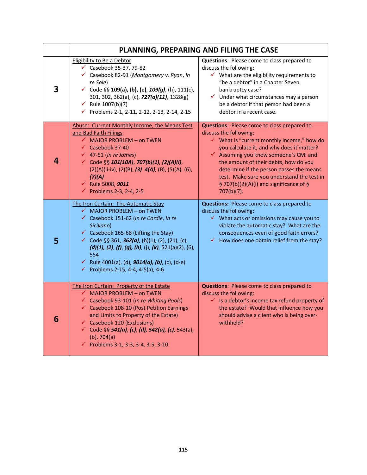|                         | PLANNING, PREPARING AND FILING THE CASE                                                                                                                                                                                                                                                                                                                                                                                 |                                                                                                                                                                                                                                                                                                                                                                                                                  |  |  |
|-------------------------|-------------------------------------------------------------------------------------------------------------------------------------------------------------------------------------------------------------------------------------------------------------------------------------------------------------------------------------------------------------------------------------------------------------------------|------------------------------------------------------------------------------------------------------------------------------------------------------------------------------------------------------------------------------------------------------------------------------------------------------------------------------------------------------------------------------------------------------------------|--|--|
| $\overline{\mathbf{3}}$ | Eligibility to Be a Debtor<br>$\checkmark$ Casebook 35-37, 79-82<br>√ Casebook 82-91 (Montgomery v. Ryan, In<br>re Sole)<br>✓ Code §§ 109(a), (b), (e), 109(g), (h), 111(c),<br>301, 302, 362(a), (c), 727(a)(11), 1328(g)<br>← Rule $1007(b)(7)$<br>√ Problems 2-1, 2-11, 2-12, 2-13, 2-14, 2-15                                                                                                                       | Questions: Please come to class prepared to<br>discuss the following:<br>$\checkmark$ What are the eligibility requirements to<br>"be a debtor" in a Chapter Seven<br>bankruptcy case?<br>$\checkmark$ Under what circumstances may a person<br>be a debtor if that person had been a<br>debtor in a recent case.                                                                                                |  |  |
| $\overline{a}$          | Abuse: Current Monthly Income, the Means Test<br>and Bad Faith Filings<br>$\checkmark$ MAJOR PROBLEM - on TWEN<br>$\checkmark$ Casebook 37-40<br>$\checkmark$ 47-51 (In re James)<br>$\checkmark$ Code §§ 101(10A), 707(b)(1), (2)(A)(i),<br>$(2)(A)(ii-iv), (2)(B), (3)$ 4(A), (B), (5)(A), (6),<br>(7)(A)<br>← Rule 5008, $9011$<br>$\checkmark$ Problems 2-3, 2-4, 2-5                                               | Questions: Please come to class prepared to<br>discuss the following:<br>$\checkmark$ What is "current monthly income," how do<br>you calculate it, and why does it matter?<br>✔ Assuming you know someone's CMI and<br>the amount of their debts, how do you<br>determine if the person passes the means<br>test. Make sure you understand the test in<br>§ 707(b)(2)(A)(i) and significance of §<br>707(b)(7). |  |  |
| 5                       | The Iron Curtain: The Automatic Stay<br>$\checkmark$ MAJOR PROBLEM - on TWEN<br>← Casebook 151-62 (In re Cordle, In re<br>Siciliano)<br>$\checkmark$ Casebook 165-68 (Lifting the Stay)<br>✓ Code §§ 361, <b>362(a)</b> , (b)(1), (2), (21), (c),<br>$(d)(1), (2), (f), (g), (h), (j), (k), 521(a)(2), (6),$<br>554<br>V Rule 4001(a), (d), $9014(a)$ , (b), (c), (d-e)<br>$\checkmark$ Problems 2-15, 4-4, 4-5(a), 4-6 | Questions: Please come to class prepared to<br>discuss the following:<br>$\checkmark$ What acts or omissions may cause you to<br>violate the automatic stay? What are the<br>consequences even of good faith errors?<br>$\checkmark$ How does one obtain relief from the stay?                                                                                                                                   |  |  |
| 6                       | The Iron Curtain: Property of the Estate<br>$\checkmark$ MAJOR PROBLEM - on TWEN<br>← Casebook 93-101 (In re Whiting Pools)<br>← Casebook 108-10 (Post Petition Earnings<br>and Limits to Property of the Estate)<br>$\checkmark$ Casebook 120 (Exclusions)<br>✓ Code §§ 541(a), (c), (d), 542(a), (c), 543(a),<br>$(b)$ , 704(a)<br>√ Problems 3-1, 3-3, 3-4, 3-5, 3-10                                                | Questions: Please come to class prepared to<br>discuss the following:<br>$\checkmark$ Is a debtor's income tax refund property of<br>the estate? Would that influence how you<br>should advise a client who is being over-<br>withheld?                                                                                                                                                                          |  |  |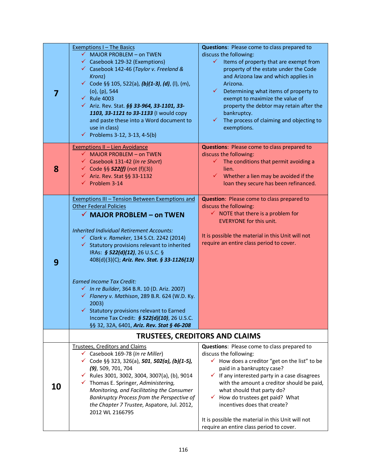| 7  | <b>Exemptions I - The Basics</b><br>$\checkmark$ MAJOR PROBLEM - on TWEN<br>$\checkmark$ Casebook 129-32 (Exemptions)<br>← Casebook 142-46 (Taylor v. Freeland &<br>Kronz)<br><del>✓</del> Code §§ 105, 522(a), (b)(1-3), (d), (l), (m),<br>(o), (p), 544<br>$\checkmark$ Rule 4003<br>√ Ariz. Rev. Stat. §§ 33-964, 33-1101, 33-<br>1103, 33-1121 to 33-1133 (I would copy<br>and paste these into a Word document to<br>use in class)<br>$\checkmark$ Problems 3-12, 3-13, 4-5(b)                                                                                                                                                                            | Questions: Please come to class prepared to<br>discuss the following:<br>Items of property that are exempt from<br>✓<br>property of the estate under the Code<br>and Arizona law and which applies in<br>Arizona.<br>$\checkmark$ Determining what items of property to<br>exempt to maximize the value of<br>property the debtor may retain after the<br>bankruptcy.<br>$\checkmark$ The process of claiming and objecting to<br>exemptions.                                           |
|----|----------------------------------------------------------------------------------------------------------------------------------------------------------------------------------------------------------------------------------------------------------------------------------------------------------------------------------------------------------------------------------------------------------------------------------------------------------------------------------------------------------------------------------------------------------------------------------------------------------------------------------------------------------------|-----------------------------------------------------------------------------------------------------------------------------------------------------------------------------------------------------------------------------------------------------------------------------------------------------------------------------------------------------------------------------------------------------------------------------------------------------------------------------------------|
| 8  | <b>Exemptions II - Lien Avoidance</b><br>$\checkmark$ MAJOR PROBLEM - on TWEN<br>← Casebook 131-42 (In re Short)<br>$\checkmark$ Code §§ 522(f) (not (f)(3))<br>$\checkmark$ Ariz. Rev. Stat §§ 33-1132<br>$\checkmark$ Problem 3-14                                                                                                                                                                                                                                                                                                                                                                                                                           | Questions: Please come to class prepared to<br>discuss the following:<br>The conditions that permit avoiding a<br>✓<br>lien.<br>Whether a lien may be avoided if the<br>✓<br>loan they secure has been refinanced.                                                                                                                                                                                                                                                                      |
| 9  | Exemptions III - Tension Between Exemptions and<br><b>Other Federal Policies</b><br>$\checkmark$ MAJOR PROBLEM - on TWEN<br><b>Inherited Individual Retirement Accounts:</b><br>◯ Clark v. Rameker, 134 S.Ct. 2242 (2014)<br>$\checkmark$ Statutory provisions relevant to inherited<br>IRAs: § 522(d)(12), 26 U.S.C. §<br>408(d)(3)(C); Ariz. Rev. Stat. § 33-1126(13)<br><b>Earned Income Tax Credit:</b><br>√ In re Builder, 364 B.R. 10 (D. Ariz. 2007)<br>√ Flanery v. Mathison, 289 B.R. 624 (W.D. Ky.<br>2003)<br>✔ Statutory provisions relevant to Earned<br>Income Tax Credit: § 522(d)(10), 26 U.S.C.<br>§§ 32, 32A, 6401, Ariz. Rev. Stat § 46-208 | Question: Please come to class prepared to<br>discuss the following:<br>$\checkmark$ NOTE that there is a problem for<br><b>EVERYONE for this unit.</b><br>It is possible the material in this Unit will not<br>require an entire class period to cover.                                                                                                                                                                                                                                |
|    |                                                                                                                                                                                                                                                                                                                                                                                                                                                                                                                                                                                                                                                                | <b>TRUSTEES, CREDITORS AND CLAIMS</b>                                                                                                                                                                                                                                                                                                                                                                                                                                                   |
| 10 | <b>Trustees, Creditors and Claims</b><br>← Casebook 169-78 (In re Miller)<br><del>✓</del> Code §§ 323, 326(a), <b>501</b> , <b>502(a), (b)(1-5),</b><br>$(9)$ , 509, 701, 704<br>← Rules 3001, 3002, 3004, 3007(a), (b), 9014<br>$\checkmark$ Thomas E. Springer, Administering,<br>Monitoring, and Facilitating the Consumer<br>Bankruptcy Process from the Perspective of<br>the Chapter 7 Trustee, Aspatore, Jul. 2012,<br>2012 WL 2166795                                                                                                                                                                                                                  | Questions: Please come to class prepared to<br>discuss the following:<br>$\checkmark$ How does a creditor "get on the list" to be<br>paid in a bankruptcy case?<br>$\checkmark$ If any interested party in a case disagrees<br>with the amount a creditor should be paid,<br>what should that party do?<br>$\checkmark$ How do trustees get paid? What<br>incentives does that create?<br>It is possible the material in this Unit will not<br>require an entire class period to cover. |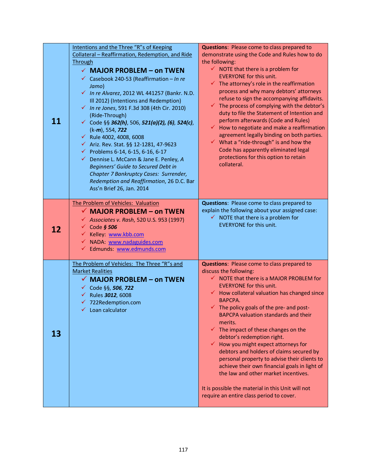| 11 | Intentions and the Three "R"s of Keeping<br>Collateral - Reaffirmation, Redemption, and Ride<br><b>Through</b><br>$\checkmark$ MAJOR PROBLEM - on TWEN<br>← Casebook 240-53 (Reaffirmation – In re<br>Jamo)<br>√ In re Alvarez, 2012 WL 441257 (Bankr. N.D.<br>Ill 2012) (Intentions and Redemption)<br>√ In re Jones, 591 F.3d 308 (4th Cir. 2010)<br>(Ride-Through)<br>✓ Code §§ 362(h), 506, 521(a)(2), (6), 524(c),<br>$(k-m)$ , 554, 722<br>$\checkmark$ Rule 4002, 4008, 6008<br>√ Ariz. Rev. Stat. §§ 12-1281, 47-9623<br>√ Problems 6-14, 6-15, 6-16, 6-17<br>← Dennise L. McCann & Jane E. Penley, A<br>Beginners' Guide to Secured Debt in<br>Chapter 7 Bankruptcy Cases: Surrender,<br>Redemption and Reaffirmation, 26 D.C. Bar<br>Ass'n Brief 26, Jan. 2014 | Questions: Please come to class prepared to<br>demonstrate using the Code and Rules how to do<br>the following:<br>$\checkmark$ NOTE that there is a problem for<br><b>EVERYONE for this unit.</b><br>$\checkmark$ The attorney's role in the reaffirmation<br>process and why many debtors' attorneys<br>refuse to sign the accompanying affidavits.<br>$\checkmark$ The process of complying with the debtor's<br>duty to file the Statement of Intention and<br>perform afterwards (Code and Rules)<br>$\checkmark$ How to negotiate and make a reaffirmation<br>agreement legally binding on both parties.<br>$\checkmark$ What a "ride-through" is and how the<br>Code has apparently eliminated legal<br>protections for this option to retain<br>collateral.             |
|----|--------------------------------------------------------------------------------------------------------------------------------------------------------------------------------------------------------------------------------------------------------------------------------------------------------------------------------------------------------------------------------------------------------------------------------------------------------------------------------------------------------------------------------------------------------------------------------------------------------------------------------------------------------------------------------------------------------------------------------------------------------------------------|---------------------------------------------------------------------------------------------------------------------------------------------------------------------------------------------------------------------------------------------------------------------------------------------------------------------------------------------------------------------------------------------------------------------------------------------------------------------------------------------------------------------------------------------------------------------------------------------------------------------------------------------------------------------------------------------------------------------------------------------------------------------------------|
| 12 | The Problem of Vehicles: Valuation<br>$\checkmark$ MAJOR PROBLEM – on TWEN<br>$\checkmark$ Associates v. Rash, 520 U.S. 953 (1997)<br>$\checkmark$ Code § 506<br>√ Kelley: www.kbb.com<br>√ NADA: www.nadaguides.com<br>└ Edmunds: www.edmunds.com                                                                                                                                                                                                                                                                                                                                                                                                                                                                                                                       | Questions: Please come to class prepared to<br>explain the following about your assigned case:<br>$\checkmark$ NOTE that there is a problem for<br><b>EVERYONE for this unit.</b>                                                                                                                                                                                                                                                                                                                                                                                                                                                                                                                                                                                               |
| 13 | The Problem of Vehicles: The Three "R"s and<br><b>Market Realities</b><br>$\checkmark$ MAJOR PROBLEM - on TWEN<br>← Code §§, 506, 722<br>← Rules 3012, 6008<br>$\checkmark$ 722Redemption.com<br>$\checkmark$ Loan calculator                                                                                                                                                                                                                                                                                                                                                                                                                                                                                                                                            | Questions: Please come to class prepared to<br>discuss the following:<br>$\checkmark$ NOTE that there is a MAJOR PROBLEM for<br><b>EVERYONE for this unit.</b><br>$\checkmark$ How collateral valuation has changed since<br>BAPCPA.<br>$\checkmark$ The policy goals of the pre- and post-<br><b>BAPCPA valuation standards and their</b><br>merits.<br>$\checkmark$ The impact of these changes on the<br>debtor's redemption right.<br>$\checkmark$ How you might expect attorneys for<br>debtors and holders of claims secured by<br>personal property to advise their clients to<br>achieve their own financial goals in light of<br>the law and other market incentives.<br>It is possible the material in this Unit will not<br>require an entire class period to cover. |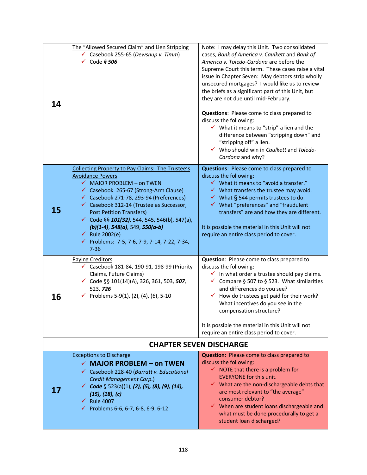| 14 | The "Allowed Secured Claim" and Lien Stripping<br>← Casebook 255-65 (Dewsnup v. Timm)<br>$\checkmark$ Code § 506                                                                                                                                                                                                                                                                                                                                                                            | Note: I may delay this Unit. Two consolidated<br>cases, Bank of America v. Caulkett and Bank of<br>America v. Toledo-Cardona are before the<br>Supreme Court this term. These cases raise a vital<br>issue in Chapter Seven: May debtors strip wholly<br>unsecured mortgages? I would like us to review<br>the briefs as a significant part of this Unit, but<br>they are not due until mid-February.<br>Questions: Please come to class prepared to<br>discuss the following:<br>$\checkmark$ What it means to "strip" a lien and the<br>difference between "stripping down" and<br>"stripping off" a lien.<br>$\checkmark$ Who should win in Caulkett and Toledo-<br>Cardona and why? |
|----|---------------------------------------------------------------------------------------------------------------------------------------------------------------------------------------------------------------------------------------------------------------------------------------------------------------------------------------------------------------------------------------------------------------------------------------------------------------------------------------------|-----------------------------------------------------------------------------------------------------------------------------------------------------------------------------------------------------------------------------------------------------------------------------------------------------------------------------------------------------------------------------------------------------------------------------------------------------------------------------------------------------------------------------------------------------------------------------------------------------------------------------------------------------------------------------------------|
| 15 | Collecting Property to Pay Claims: The Trustee's<br><b>Avoidance Powers</b><br>$\checkmark$ MAJOR PROBLEM - on TWEN<br>← Casebook 265-67 (Strong-Arm Clause)<br>← Casebook 271-78, 293-94 (Preferences)<br>$\checkmark$ Casebook 312-14 (Trustee as Successor,<br><b>Post Petition Transfers)</b><br><del>✓</del> Code §§ 101(32), 544, 545, 546(b), 547(a),<br>$(b)(1-4)$ , 548(a), 549, 550(a-b)<br>$\checkmark$ Rule 2002(e)<br>√ Problems: 7-5, 7-6, 7-9, 7-14, 7-22, 7-34,<br>$7 - 36$ | Questions: Please come to class prepared to<br>discuss the following:<br>$\checkmark$ What it means to "avoid a transfer."<br>$\checkmark$ What transfers the trustee may avoid.<br>$\checkmark$ What § 544 permits trustees to do.<br>√ What "preferences" and "fraudulent<br>transfers" are and how they are different.<br>It is possible the material in this Unit will not<br>require an entire class period to cover.                                                                                                                                                                                                                                                              |
| 16 | <b>Paying Creditors</b><br>← Casebook 181-84, 190-91, 198-99 (Priority<br>Claims, Future Claims)<br>◯ Code §§ 101(14)(A), 326, 361, 503, 507,<br>523, 726<br>$\checkmark$ Problems 5-9(1), (2), (4), (6), 5-10                                                                                                                                                                                                                                                                              | Question: Please come to class prepared to<br>discuss the following:<br>$\checkmark$ In what order a trustee should pay claims.<br>← Compare § 507 to § 523. What similarities<br>and differences do you see?<br>$\checkmark$ How do trustees get paid for their work?<br>What incentives do you see in the<br>compensation structure?<br>It is possible the material in this Unit will not<br>require an entire class period to cover.                                                                                                                                                                                                                                                 |
|    |                                                                                                                                                                                                                                                                                                                                                                                                                                                                                             | <b>CHAPTER SEVEN DISCHARGE</b>                                                                                                                                                                                                                                                                                                                                                                                                                                                                                                                                                                                                                                                          |
| 17 | <b>Exceptions to Discharge</b><br>$\checkmark$ MAJOR PROBLEM - on TWEN<br>← Casebook 228-40 (Barratt v. Educational<br>Credit Management Corp.)<br><del>✓</del> Code § 523(a)(1), (2), (5), (8), (9), (14),<br>$(15)$ , $(18)$ , $(c)$<br>$\checkmark$ Rule 4007<br>$\checkmark$ Problems 6-6, 6-7, 6-8, 6-9, 6-12                                                                                                                                                                          | Question: Please come to class prepared to<br>discuss the following:<br>$\checkmark$ NOTE that there is a problem for<br><b>EVERYONE for this unit.</b><br>$\checkmark$ What are the non-dischargeable debts that<br>are most relevant to "the average"<br>consumer debtor?<br>$\checkmark$ When are student loans dischargeable and<br>what must be done procedurally to get a<br>student loan discharged?                                                                                                                                                                                                                                                                             |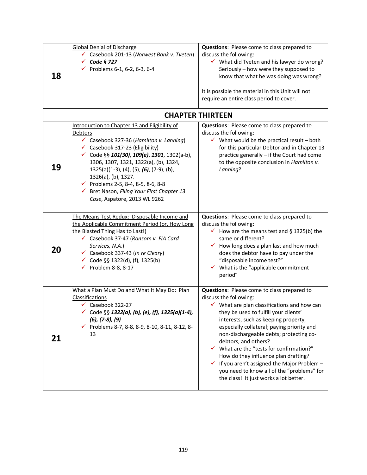| 18 | Global Denial of Discharge<br>← Casebook 201-13 (Norwest Bank v. Tveten)<br>$\checkmark$ Code § 727<br>$\checkmark$ Problems 6-1, 6-2, 6-3, 6-4                                                                                                                                                                                                                                                                                                           | Questions: Please come to class prepared to<br>discuss the following:<br>√ What did Tveten and his lawyer do wrong?<br>Seriously - how were they supposed to<br>know that what he was doing was wrong?<br>It is possible the material in this Unit will not<br>require an entire class period to cover.                                                                                                                                                                                                                                                                             |
|----|-----------------------------------------------------------------------------------------------------------------------------------------------------------------------------------------------------------------------------------------------------------------------------------------------------------------------------------------------------------------------------------------------------------------------------------------------------------|-------------------------------------------------------------------------------------------------------------------------------------------------------------------------------------------------------------------------------------------------------------------------------------------------------------------------------------------------------------------------------------------------------------------------------------------------------------------------------------------------------------------------------------------------------------------------------------|
|    |                                                                                                                                                                                                                                                                                                                                                                                                                                                           | <b>CHAPTER THIRTEEN</b>                                                                                                                                                                                                                                                                                                                                                                                                                                                                                                                                                             |
| 19 | Introduction to Chapter 13 and Eligibility of<br>Debtors<br>$\checkmark$ Casebook 327-36 (Hamilton v. Lanning)<br>$\checkmark$ Casebook 317-23 (Eligibility)<br><del>✓</del> Code §§ 101(30), 109(e), 1301, 1302(a-b),<br>1306, 1307, 1321, 1322(a), (b), 1324,<br>$1325(a)(1-3)$ , (4), (5), (6), (7-9), (b),<br>1326(a), (b), 1327.<br>√ Problems 2-5, 8-4, 8-5, 8-6, 8-8<br>└ Bret Nason, Filing Your First Chapter 13<br>Case, Aspatore, 2013 WL 9262 | Questions: Please come to class prepared to<br>discuss the following:<br>$\checkmark$ What would be the practical result – both<br>for this particular Debtor and in Chapter 13<br>practice generally - if the Court had come<br>to the opposite conclusion in Hamilton v.<br>Lanning?                                                                                                                                                                                                                                                                                              |
| 20 | The Means Test Redux: Disposable Income and<br>the Applicable Commitment Period (or, How Long<br>the Blasted Thing Has to Last!)<br>√ Casebook 37-47 (Ransom v. FIA Card<br>Services, N.A.)<br>$\checkmark$ Casebook 337-43 (In re Cleary)<br>◯ Code §§ 1322(d), (f), 1325(b)<br>$\checkmark$ Problem 8-8, 8-17                                                                                                                                           | Questions: Please come to class prepared to<br>discuss the following:<br>$\checkmark$ How are the means test and § 1325(b) the<br>same or different?<br>$\checkmark$ How long does a plan last and how much<br>does the debtor have to pay under the<br>"disposable income test?"<br>$\checkmark$ What is the "applicable commitment"<br>period"                                                                                                                                                                                                                                    |
| 21 | What a Plan Must Do and What It May Do: Plan<br>Classifications<br>$\checkmark$ Casebook 322-27<br>✓ Code §§ 1322(a), (b), (e), (f), 1325(a)(1-4),<br>$(6)$ , $(7-8)$ , $(9)$<br>√ Problems 8-7, 8-8, 8-9, 8-10, 8-11, 8-12, 8-<br>13                                                                                                                                                                                                                     | Questions: Please come to class prepared to<br>discuss the following:<br>$\checkmark$ What are plan classifications and how can<br>they be used to fulfill your clients'<br>interests, such as keeping property,<br>especially collateral; paying priority and<br>non-dischargeable debts; protecting co-<br>debtors, and others?<br>$\checkmark$ What are the "tests for confirmation?"<br>How do they influence plan drafting?<br>$\checkmark$ If you aren't assigned the Major Problem -<br>you need to know all of the "problems" for<br>the class! It just works a lot better. |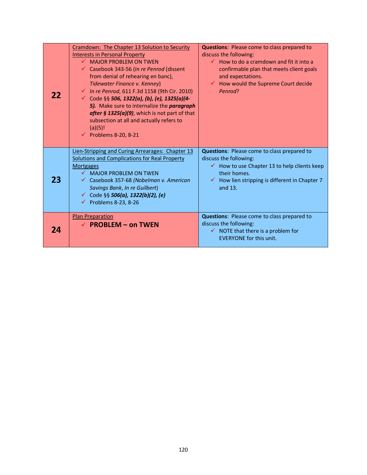| 22 | Cramdown: The Chapter 13 Solution to Security<br><b>Interests in Personal Property</b><br>$\checkmark$ MAIOR PROBLEM ON TWEN<br>← Casebook 343-56 (In re Penrod (dissent<br>from denial of rehearing en banc),<br>Tidewater Finance v. Kenney)<br>√ In re Penrod, 611 F.3d 1158 (9th Cir. 2010)<br>✓ Code §§ 506, 1322(a), (b), (e), 1325(a)(4-<br>5). Make sure to internalize the <i>paragraph</i><br>after § 1325(a)(9), which is not part of that<br>subsection at all and actually refers to<br>(a)(5)!<br>$\checkmark$ Problems 8-20, 8-21 | Questions: Please come to class prepared to<br>discuss the following:<br>$\checkmark$ How to do a cramdown and fit it into a<br>confirmable plan that meets client goals<br>and expectations.<br>$\checkmark$ How would the Supreme Court decide<br>Penrod? |
|----|--------------------------------------------------------------------------------------------------------------------------------------------------------------------------------------------------------------------------------------------------------------------------------------------------------------------------------------------------------------------------------------------------------------------------------------------------------------------------------------------------------------------------------------------------|-------------------------------------------------------------------------------------------------------------------------------------------------------------------------------------------------------------------------------------------------------------|
| 23 | Lien-Stripping and Curing Arrearages: Chapter 13<br><b>Solutions and Complications for Real Property</b><br><b>Mortgages</b><br>$\checkmark$ MAJOR PROBLEM ON TWEN<br>← Casebook 357-68 (Nobelman v. American<br>Savings Bank, In re Guilbert)<br>✓ Code §§ 506(a), 1322(b)(2), (e)<br>$\checkmark$ Problems 8-23, 8-26                                                                                                                                                                                                                          | Questions: Please come to class prepared to<br>discuss the following:<br>$\checkmark$ How to use Chapter 13 to help clients keep<br>their homes.<br>$\checkmark$ How lien stripping is different in Chapter 7<br>and $13.$                                  |
| 24 | <b>Plan Preparation</b><br>$\checkmark$ PROBLEM – on TWEN                                                                                                                                                                                                                                                                                                                                                                                                                                                                                        | Questions: Please come to class prepared to<br>discuss the following:<br>$\checkmark$ NOTE that there is a problem for<br><b>EVERYONE for this unit.</b>                                                                                                    |